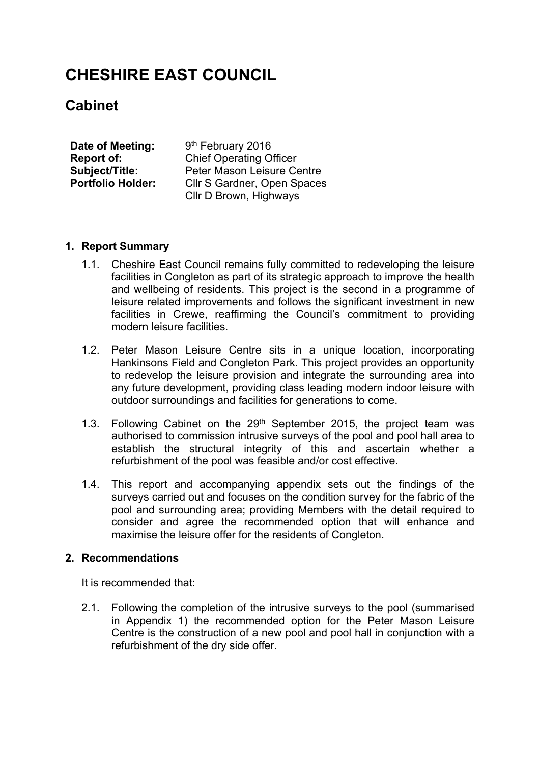# **CHESHIRE EAST COUNCIL**

# **Cabinet**

| Date of Meeting:         | 9 <sup>th</sup> February 2016  |
|--------------------------|--------------------------------|
| <b>Report of:</b>        | <b>Chief Operating Officer</b> |
| <b>Subject/Title:</b>    | Peter Mason Leisure Centre     |
| <b>Portfolio Holder:</b> | Cllr S Gardner, Open Spaces    |
|                          | Cllr D Brown, Highways         |

#### **1. Report Summary**

- 1.1. Cheshire East Council remains fully committed to redeveloping the leisure facilities in Congleton as part of its strategic approach to improve the health and wellbeing of residents. This project is the second in a programme of leisure related improvements and follows the significant investment in new facilities in Crewe, reaffirming the Council's commitment to providing modern leisure facilities.
- 1.2. Peter Mason Leisure Centre sits in a unique location, incorporating Hankinsons Field and Congleton Park. This project provides an opportunity to redevelop the leisure provision and integrate the surrounding area into any future development, providing class leading modern indoor leisure with outdoor surroundings and facilities for generations to come.
- 1.3. Following Cabinet on the 29<sup>th</sup> September 2015, the project team was authorised to commission intrusive surveys of the pool and pool hall area to establish the structural integrity of this and ascertain whether a refurbishment of the pool was feasible and/or cost effective.
- 1.4. This report and accompanying appendix sets out the findings of the surveys carried out and focuses on the condition survey for the fabric of the pool and surrounding area; providing Members with the detail required to consider and agree the recommended option that will enhance and maximise the leisure offer for the residents of Congleton.

#### **2. Recommendations**

It is recommended that:

2.1. Following the completion of the intrusive surveys to the pool (summarised in Appendix 1) the recommended option for the Peter Mason Leisure Centre is the construction of a new pool and pool hall in conjunction with a refurbishment of the dry side offer.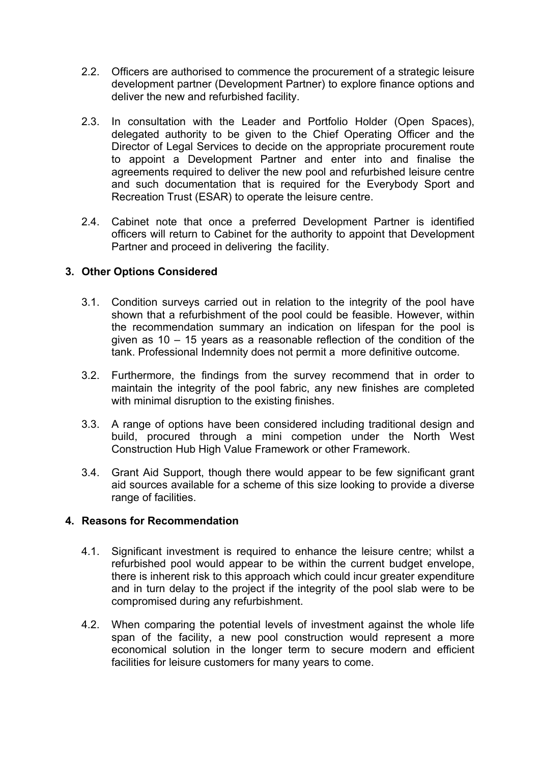- 2.2. Officers are authorised to commence the procurement of a strategic leisure development partner (Development Partner) to explore finance options and deliver the new and refurbished facility.
- 2.3. In consultation with the Leader and Portfolio Holder (Open Spaces), delegated authority to be given to the Chief Operating Officer and the Director of Legal Services to decide on the appropriate procurement route to appoint a Development Partner and enter into and finalise the agreements required to deliver the new pool and refurbished leisure centre and such documentation that is required for the Everybody Sport and Recreation Trust (ESAR) to operate the leisure centre.
- 2.4. Cabinet note that once a preferred Development Partner is identified officers will return to Cabinet for the authority to appoint that Development Partner and proceed in delivering the facility.

# **3. Other Options Considered**

- 3.1. Condition surveys carried out in relation to the integrity of the pool have shown that a refurbishment of the pool could be feasible. However, within the recommendation summary an indication on lifespan for the pool is given as 10 – 15 years as a reasonable reflection of the condition of the tank. Professional Indemnity does not permit a more definitive outcome.
- 3.2. Furthermore, the findings from the survey recommend that in order to maintain the integrity of the pool fabric, any new finishes are completed with minimal disruption to the existing finishes.
- 3.3. A range of options have been considered including traditional design and build, procured through a mini competion under the North West Construction Hub High Value Framework or other Framework.
- 3.4. Grant Aid Support, though there would appear to be few significant grant aid sources available for a scheme of this size looking to provide a diverse range of facilities.

#### **4. Reasons for Recommendation**

- 4.1. Significant investment is required to enhance the leisure centre; whilst a refurbished pool would appear to be within the current budget envelope, there is inherent risk to this approach which could incur greater expenditure and in turn delay to the project if the integrity of the pool slab were to be compromised during any refurbishment.
- 4.2. When comparing the potential levels of investment against the whole life span of the facility, a new pool construction would represent a more economical solution in the longer term to secure modern and efficient facilities for leisure customers for many years to come.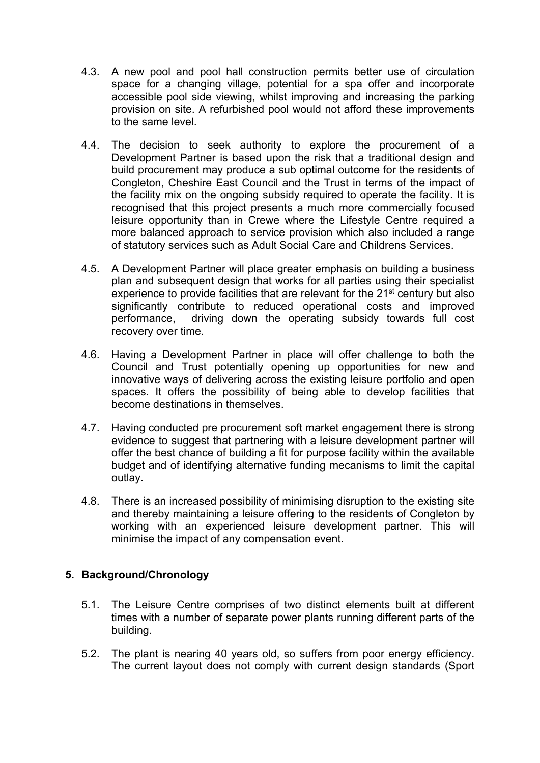- 4.3. A new pool and pool hall construction permits better use of circulation space for a changing village, potential for a spa offer and incorporate accessible pool side viewing, whilst improving and increasing the parking provision on site. A refurbished pool would not afford these improvements to the same level.
- 4.4. The decision to seek authority to explore the procurement of a Development Partner is based upon the risk that a traditional design and build procurement may produce a sub optimal outcome for the residents of Congleton, Cheshire East Council and the Trust in terms of the impact of the facility mix on the ongoing subsidy required to operate the facility. It is recognised that this project presents a much more commercially focused leisure opportunity than in Crewe where the Lifestyle Centre required a more balanced approach to service provision which also included a range of statutory services such as Adult Social Care and Childrens Services.
- 4.5. A Development Partner will place greater emphasis on building a business plan and subsequent design that works for all parties using their specialist experience to provide facilities that are relevant for the 21<sup>st</sup> century but also significantly contribute to reduced operational costs and improved performance, driving down the operating subsidy towards full cost recovery over time.
- 4.6. Having a Development Partner in place will offer challenge to both the Council and Trust potentially opening up opportunities for new and innovative ways of delivering across the existing leisure portfolio and open spaces. It offers the possibility of being able to develop facilities that become destinations in themselves.
- 4.7. Having conducted pre procurement soft market engagement there is strong evidence to suggest that partnering with a leisure development partner will offer the best chance of building a fit for purpose facility within the available budget and of identifying alternative funding mecanisms to limit the capital outlay.
- 4.8. There is an increased possibility of minimising disruption to the existing site and thereby maintaining a leisure offering to the residents of Congleton by working with an experienced leisure development partner. This will minimise the impact of any compensation event.

# **5. Background/Chronology**

- 5.1. The Leisure Centre comprises of two distinct elements built at different times with a number of separate power plants running different parts of the building.
- 5.2. The plant is nearing 40 years old, so suffers from poor energy efficiency. The current layout does not comply with current design standards (Sport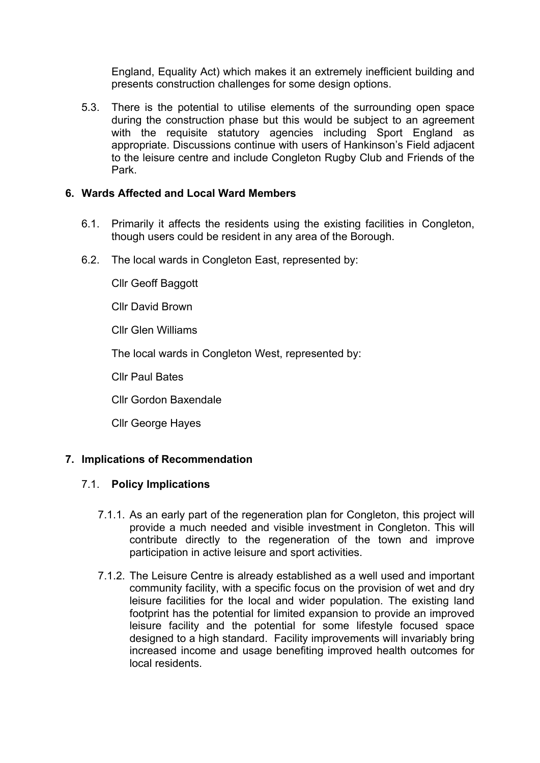England, Equality Act) which makes it an extremely inefficient building and presents construction challenges for some design options.

5.3. There is the potential to utilise elements of the surrounding open space during the construction phase but this would be subject to an agreement with the requisite statutory agencies including Sport England as appropriate. Discussions continue with users of Hankinson's Field adjacent to the leisure centre and include Congleton Rugby Club and Friends of the Park.

#### **6. Wards Affected and Local Ward Members**

- 6.1. Primarily it affects the residents using the existing facilities in Congleton, though users could be resident in any area of the Borough.
- 6.2. The local wards in Congleton East, represented by:

Cllr Geoff Baggott

Cllr David Brown

Cllr Glen Williams

The local wards in Congleton West, represented by:

Cllr Paul Bates

Cllr Gordon Baxendale

Cllr George Hayes

#### **7. Implications of Recommendation**

#### 7.1. **Policy Implications**

- 7.1.1. As an early part of the regeneration plan for Congleton, this project will provide a much needed and visible investment in Congleton. This will contribute directly to the regeneration of the town and improve participation in active leisure and sport activities.
- 7.1.2. The Leisure Centre is already established as a well used and important community facility, with a specific focus on the provision of wet and dry leisure facilities for the local and wider population. The existing land footprint has the potential for limited expansion to provide an improved leisure facility and the potential for some lifestyle focused space designed to a high standard. Facility improvements will invariably bring increased income and usage benefiting improved health outcomes for local residents.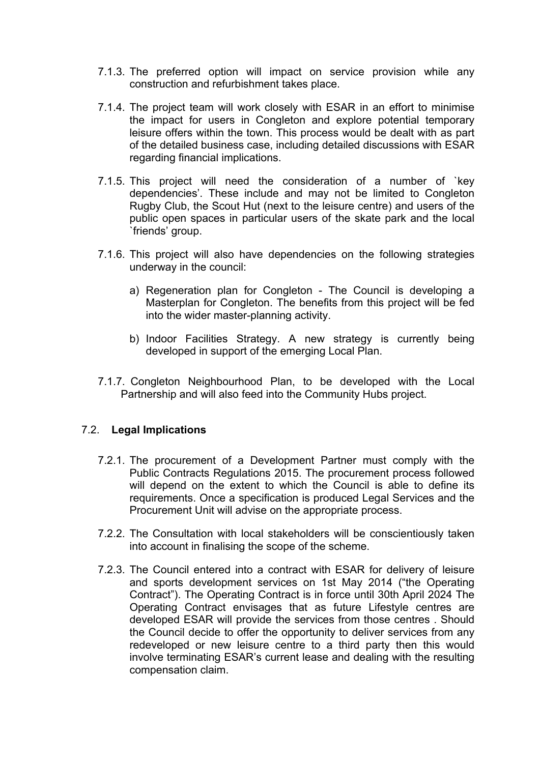- 7.1.3. The preferred option will impact on service provision while any construction and refurbishment takes place.
- 7.1.4. The project team will work closely with ESAR in an effort to minimise the impact for users in Congleton and explore potential temporary leisure offers within the town. This process would be dealt with as part of the detailed business case, including detailed discussions with ESAR regarding financial implications.
- 7.1.5. This project will need the consideration of a number of `key dependencies'. These include and may not be limited to Congleton Rugby Club, the Scout Hut (next to the leisure centre) and users of the public open spaces in particular users of the skate park and the local `friends' group.
- 7.1.6. This project will also have dependencies on the following strategies underway in the council:
	- a) Regeneration plan for Congleton The Council is developing a Masterplan for Congleton. The benefits from this project will be fed into the wider master-planning activity.
	- b) Indoor Facilities Strategy. A new strategy is currently being developed in support of the emerging Local Plan.
- 7.1.7. Congleton Neighbourhood Plan, to be developed with the Local Partnership and will also feed into the Community Hubs project.

# 7.2. **Legal Implications**

- 7.2.1. The procurement of a Development Partner must comply with the Public Contracts Regulations 2015. The procurement process followed will depend on the extent to which the Council is able to define its requirements. Once a specification is produced Legal Services and the Procurement Unit will advise on the appropriate process.
- 7.2.2. The Consultation with local stakeholders will be conscientiously taken into account in finalising the scope of the scheme.
- 7.2.3. The Council entered into a contract with ESAR for delivery of leisure and sports development services on 1st May 2014 ("the Operating Contract"). The Operating Contract is in force until 30th April 2024 The Operating Contract envisages that as future Lifestyle centres are developed ESAR will provide the services from those centres . Should the Council decide to offer the opportunity to deliver services from any redeveloped or new leisure centre to a third party then this would involve terminating ESAR's current lease and dealing with the resulting compensation claim.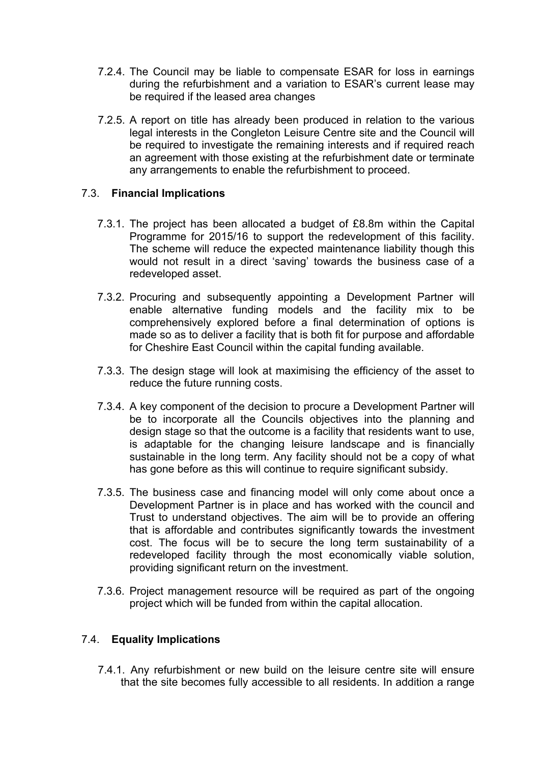- 7.2.4. The Council may be liable to compensate ESAR for loss in earnings during the refurbishment and a variation to ESAR's current lease may be required if the leased area changes
- 7.2.5. A report on title has already been produced in relation to the various legal interests in the Congleton Leisure Centre site and the Council will be required to investigate the remaining interests and if required reach an agreement with those existing at the refurbishment date or terminate any arrangements to enable the refurbishment to proceed.

#### 7.3. **Financial Implications**

- 7.3.1. The project has been allocated a budget of £8.8m within the Capital Programme for 2015/16 to support the redevelopment of this facility. The scheme will reduce the expected maintenance liability though this would not result in a direct 'saving' towards the business case of a redeveloped asset.
- 7.3.2. Procuring and subsequently appointing a Development Partner will enable alternative funding models and the facility mix to be comprehensively explored before a final determination of options is made so as to deliver a facility that is both fit for purpose and affordable for Cheshire East Council within the capital funding available.
- 7.3.3. The design stage will look at maximising the efficiency of the asset to reduce the future running costs.
- 7.3.4. A key component of the decision to procure a Development Partner will be to incorporate all the Councils objectives into the planning and design stage so that the outcome is a facility that residents want to use, is adaptable for the changing leisure landscape and is financially sustainable in the long term. Any facility should not be a copy of what has gone before as this will continue to require significant subsidy.
- 7.3.5. The business case and financing model will only come about once a Development Partner is in place and has worked with the council and Trust to understand objectives. The aim will be to provide an offering that is affordable and contributes significantly towards the investment cost. The focus will be to secure the long term sustainability of a redeveloped facility through the most economically viable solution, providing significant return on the investment.
- 7.3.6. Project management resource will be required as part of the ongoing project which will be funded from within the capital allocation.

# 7.4. **Equality Implications**

7.4.1. Any refurbishment or new build on the leisure centre site will ensure that the site becomes fully accessible to all residents. In addition a range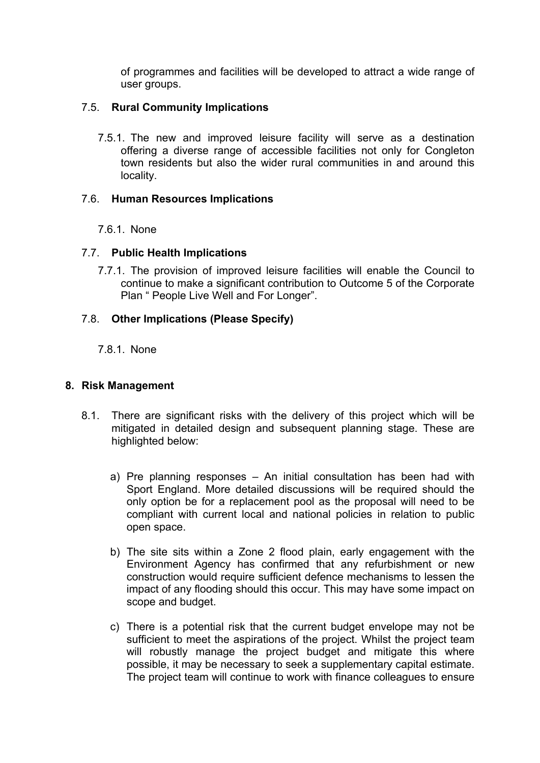of programmes and facilities will be developed to attract a wide range of user groups.

#### 7.5. **Rural Community Implications**

7.5.1. The new and improved leisure facility will serve as a destination offering a diverse range of accessible facilities not only for Congleton town residents but also the wider rural communities in and around this locality.

# 7.6. **Human Resources Implications**

# 7.6.1. None

# 7.7. **Public Health Implications**

7.7.1. The provision of improved leisure facilities will enable the Council to continue to make a significant contribution to Outcome 5 of the Corporate Plan " People Live Well and For Longer".

#### 7.8. **Other Implications (Please Specify)**

7.8.1. None

#### **8. Risk Management**

- 8.1. There are significant risks with the delivery of this project which will be mitigated in detailed design and subsequent planning stage. These are highlighted below:
	- a) Pre planning responses An initial consultation has been had with Sport England. More detailed discussions will be required should the only option be for a replacement pool as the proposal will need to be compliant with current local and national policies in relation to public open space.
	- b) The site sits within a Zone 2 flood plain, early engagement with the Environment Agency has confirmed that any refurbishment or new construction would require sufficient defence mechanisms to lessen the impact of any flooding should this occur. This may have some impact on scope and budget.
	- c) There is a potential risk that the current budget envelope may not be sufficient to meet the aspirations of the project. Whilst the project team will robustly manage the project budget and mitigate this where possible, it may be necessary to seek a supplementary capital estimate. The project team will continue to work with finance colleagues to ensure